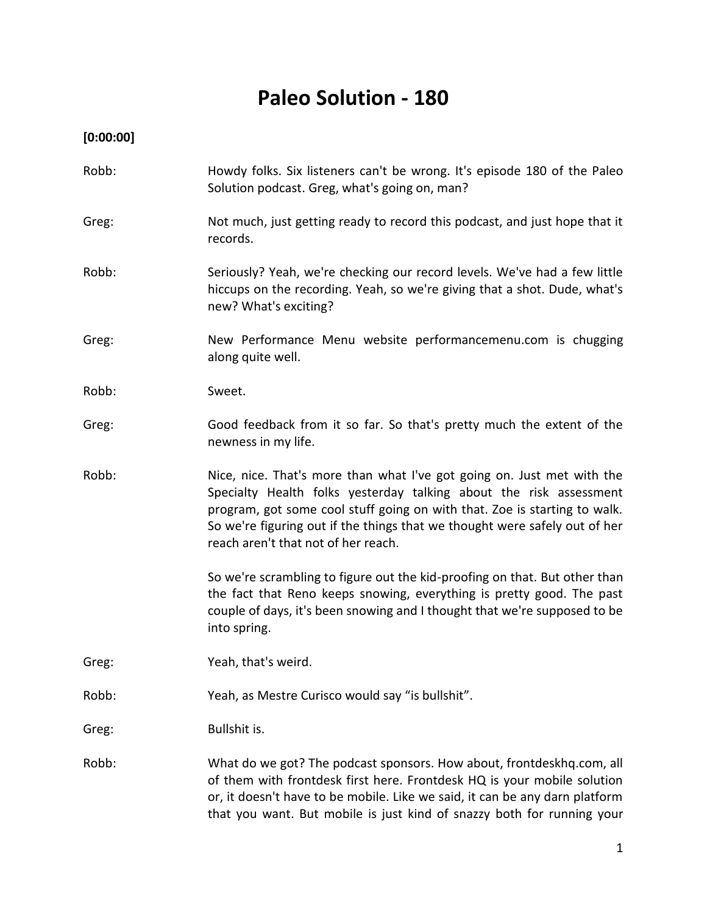# **Paleo Solution - 180**

**[0:00:00]**

- Robb: Howdy folks. Six listeners can't be wrong. It's episode 180 of the Paleo Solution podcast. Greg, what's going on, man?
- Greg: Not much, just getting ready to record this podcast, and just hope that it records.
- Robb: Seriously? Yeah, we're checking our record levels. We've had a few little hiccups on the recording. Yeah, so we're giving that a shot. Dude, what's new? What's exciting?
- Greg: New Performance Menu website performancemenu.com is chugging along quite well.
- Robb: Sweet.
- Greg: Good feedback from it so far. So that's pretty much the extent of the newness in my life.
- Robb: Nice, nice. That's more than what I've got going on. Just met with the Specialty Health folks yesterday talking about the risk assessment program, got some cool stuff going on with that. Zoe is starting to walk. So we're figuring out if the things that we thought were safely out of her reach aren't that not of her reach.

So we're scrambling to figure out the kid-proofing on that. But other than the fact that Reno keeps snowing, everything is pretty good. The past couple of days, it's been snowing and I thought that we're supposed to be into spring.

- Greg: Yeah, that's weird.
- Robb: Yeah, as Mestre Curisco would say "is bullshit".

Greg: Bullshit is.

Robb: What do we got? The podcast sponsors. How about, frontdeskhq.com, all of them with frontdesk first here. Frontdesk HQ is your mobile solution or, it doesn't have to be mobile. Like we said, it can be any darn platform that you want. But mobile is just kind of snazzy both for running your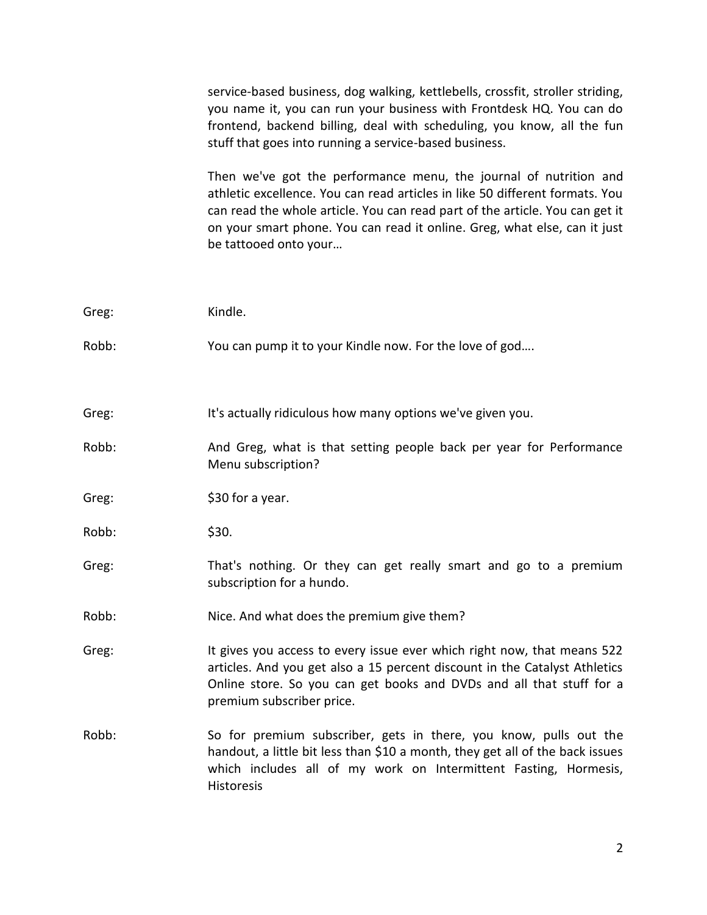service-based business, dog walking, kettlebells, crossfit, stroller striding, you name it, you can run your business with Frontdesk HQ. You can do frontend, backend billing, deal with scheduling, you know, all the fun stuff that goes into running a service-based business.

Then we've got the performance menu, the journal of nutrition and athletic excellence. You can read articles in like 50 different formats. You can read the whole article. You can read part of the article. You can get it on your smart phone. You can read it online. Greg, what else, can it just be tattooed onto your…

| Greg: | Kindle.                                                                                                                                                                                                                                                    |
|-------|------------------------------------------------------------------------------------------------------------------------------------------------------------------------------------------------------------------------------------------------------------|
| Robb: | You can pump it to your Kindle now. For the love of god                                                                                                                                                                                                    |
| Greg: | It's actually ridiculous how many options we've given you.                                                                                                                                                                                                 |
| Robb: | And Greg, what is that setting people back per year for Performance<br>Menu subscription?                                                                                                                                                                  |
| Greg: | \$30 for a year.                                                                                                                                                                                                                                           |
| Robb: | \$30.                                                                                                                                                                                                                                                      |
| Greg: | That's nothing. Or they can get really smart and go to a premium<br>subscription for a hundo.                                                                                                                                                              |
| Robb: | Nice. And what does the premium give them?                                                                                                                                                                                                                 |
| Greg: | It gives you access to every issue ever which right now, that means 522<br>articles. And you get also a 15 percent discount in the Catalyst Athletics<br>Online store. So you can get books and DVDs and all that stuff for a<br>premium subscriber price. |
| Robb: | So for premium subscriber, gets in there, you know, pulls out the<br>handout, a little bit less than \$10 a month, they get all of the back issues<br>which includes all of my work on Intermittent Fasting, Hormesis,<br><b>Historesis</b>                |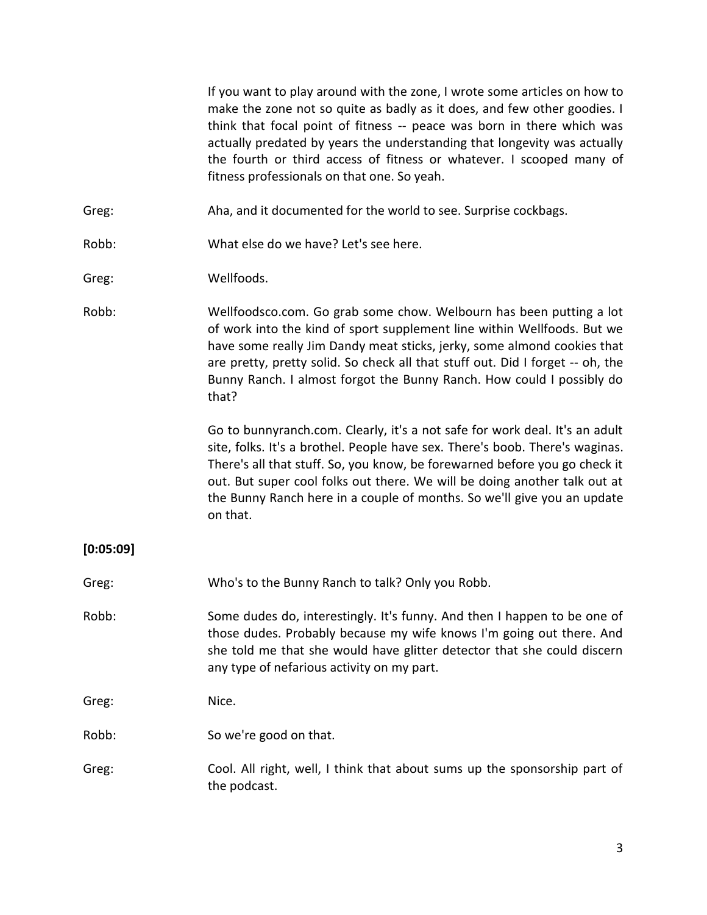If you want to play around with the zone, I wrote some articles on how to make the zone not so quite as badly as it does, and few other goodies. I think that focal point of fitness -- peace was born in there which was actually predated by years the understanding that longevity was actually the fourth or third access of fitness or whatever. I scooped many of fitness professionals on that one. So yeah.

- Greg: Aha, and it documented for the world to see. Surprise cockbags.
- Robb: What else do we have? Let's see here.
- Greg: Wellfoods.
- Robb: Wellfoodsco.com. Go grab some chow. Welbourn has been putting a lot of work into the kind of sport supplement line within Wellfoods. But we have some really Jim Dandy meat sticks, jerky, some almond cookies that are pretty, pretty solid. So check all that stuff out. Did I forget -- oh, the Bunny Ranch. I almost forgot the Bunny Ranch. How could I possibly do that?

Go to bunnyranch.com. Clearly, it's a not safe for work deal. It's an adult site, folks. It's a brothel. People have sex. There's boob. There's waginas. There's all that stuff. So, you know, be forewarned before you go check it out. But super cool folks out there. We will be doing another talk out at the Bunny Ranch here in a couple of months. So we'll give you an update on that.

## **[0:05:09]**

- Greg: Who's to the Bunny Ranch to talk? Only you Robb.
- Robb: Some dudes do, interestingly. It's funny. And then I happen to be one of those dudes. Probably because my wife knows I'm going out there. And she told me that she would have glitter detector that she could discern any type of nefarious activity on my part.

Greg: Nice.

- Robb: So we're good on that.
- Greg: Cool. All right, well, I think that about sums up the sponsorship part of the podcast.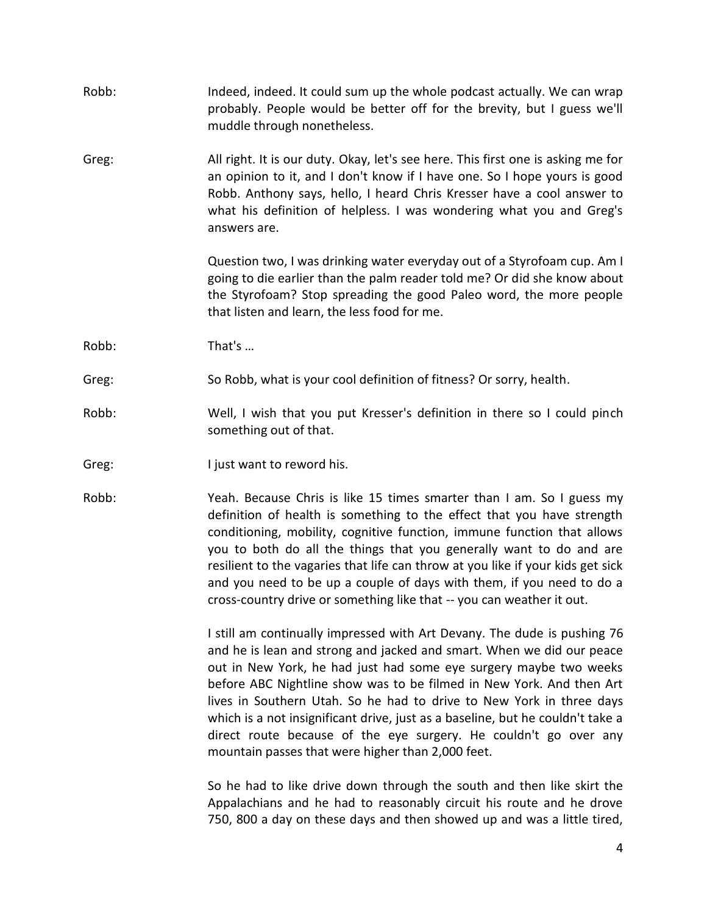| Robb: | Indeed, indeed. It could sum up the whole podcast actually. We can wrap<br>probably. People would be better off for the brevity, but I guess we'll<br>muddle through nonetheless.                                                                                                                                                                                                                                                                                                                                                                                                 |
|-------|-----------------------------------------------------------------------------------------------------------------------------------------------------------------------------------------------------------------------------------------------------------------------------------------------------------------------------------------------------------------------------------------------------------------------------------------------------------------------------------------------------------------------------------------------------------------------------------|
| Greg: | All right. It is our duty. Okay, let's see here. This first one is asking me for<br>an opinion to it, and I don't know if I have one. So I hope yours is good<br>Robb. Anthony says, hello, I heard Chris Kresser have a cool answer to<br>what his definition of helpless. I was wondering what you and Greg's<br>answers are.                                                                                                                                                                                                                                                   |
|       | Question two, I was drinking water everyday out of a Styrofoam cup. Am I<br>going to die earlier than the palm reader told me? Or did she know about<br>the Styrofoam? Stop spreading the good Paleo word, the more people<br>that listen and learn, the less food for me.                                                                                                                                                                                                                                                                                                        |
| Robb: | That's                                                                                                                                                                                                                                                                                                                                                                                                                                                                                                                                                                            |
| Greg: | So Robb, what is your cool definition of fitness? Or sorry, health.                                                                                                                                                                                                                                                                                                                                                                                                                                                                                                               |
| Robb: | Well, I wish that you put Kresser's definition in there so I could pinch<br>something out of that.                                                                                                                                                                                                                                                                                                                                                                                                                                                                                |
| Greg: | I just want to reword his.                                                                                                                                                                                                                                                                                                                                                                                                                                                                                                                                                        |
| Robb: | Yeah. Because Chris is like 15 times smarter than I am. So I guess my<br>definition of health is something to the effect that you have strength<br>conditioning, mobility, cognitive function, immune function that allows<br>you to both do all the things that you generally want to do and are<br>resilient to the vagaries that life can throw at you like if your kids get sick<br>and you need to be up a couple of days with them, if you need to do a<br>cross-country drive or something like that -- you can weather it out.                                            |
|       | I still am continually impressed with Art Devany. The dude is pushing 76<br>and he is lean and strong and jacked and smart. When we did our peace<br>out in New York, he had just had some eye surgery maybe two weeks<br>before ABC Nightline show was to be filmed in New York. And then Art<br>lives in Southern Utah. So he had to drive to New York in three days<br>which is a not insignificant drive, just as a baseline, but he couldn't take a<br>direct route because of the eye surgery. He couldn't go over any<br>mountain passes that were higher than 2,000 feet. |
|       | So he had to like drive down through the south and then like skirt the<br>Appalachians and he had to reasonably circuit his route and he drove<br>750, 800 a day on these days and then showed up and was a little tired,                                                                                                                                                                                                                                                                                                                                                         |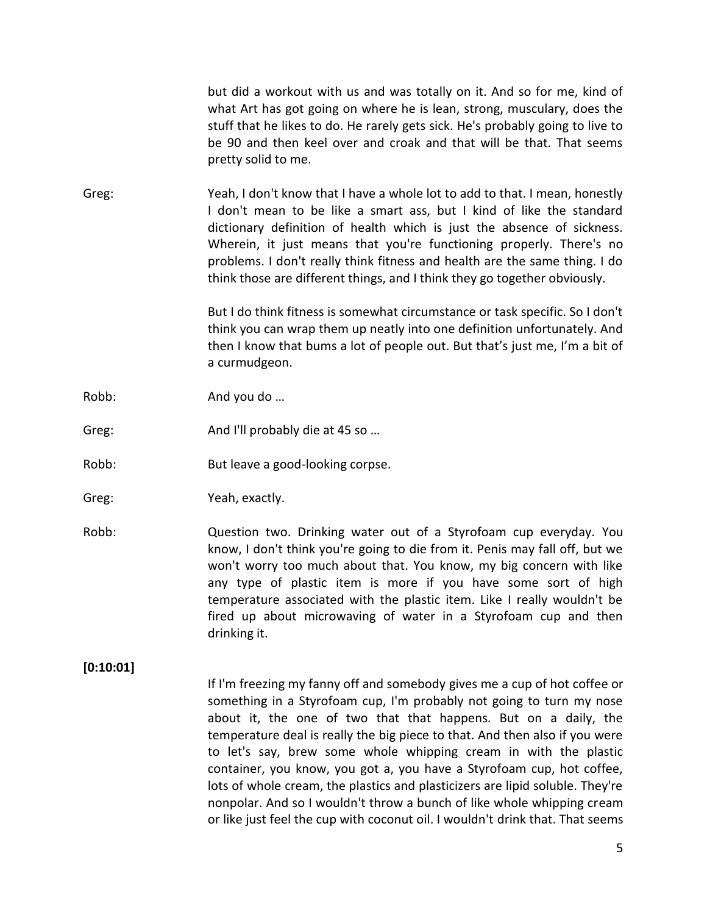but did a workout with us and was totally on it. And so for me, kind of what Art has got going on where he is lean, strong, musculary, does the stuff that he likes to do. He rarely gets sick. He's probably going to live to be 90 and then keel over and croak and that will be that. That seems pretty solid to me.

Greg: Yeah, I don't know that I have a whole lot to add to that. I mean, honestly I don't mean to be like a smart ass, but I kind of like the standard dictionary definition of health which is just the absence of sickness. Wherein, it just means that you're functioning properly. There's no problems. I don't really think fitness and health are the same thing. I do think those are different things, and I think they go together obviously.

> But I do think fitness is somewhat circumstance or task specific. So I don't think you can wrap them up neatly into one definition unfortunately. And then I know that bums a lot of people out. But that's just me, I'm a bit of a curmudgeon.

- Robb: And you do ...
- Greg: And I'll probably die at 45 so ...
- Robb: But leave a good-looking corpse.
- Greg: Yeah, exactly.
- Robb: Question two. Drinking water out of a Styrofoam cup everyday. You know, I don't think you're going to die from it. Penis may fall off, but we won't worry too much about that. You know, my big concern with like any type of plastic item is more if you have some sort of high temperature associated with the plastic item. Like I really wouldn't be fired up about microwaving of water in a Styrofoam cup and then drinking it.

### **[0:10:01]**

If I'm freezing my fanny off and somebody gives me a cup of hot coffee or something in a Styrofoam cup, I'm probably not going to turn my nose about it, the one of two that that happens. But on a daily, the temperature deal is really the big piece to that. And then also if you were to let's say, brew some whole whipping cream in with the plastic container, you know, you got a, you have a Styrofoam cup, hot coffee, lots of whole cream, the plastics and plasticizers are lipid soluble. They're nonpolar. And so I wouldn't throw a bunch of like whole whipping cream or like just feel the cup with coconut oil. I wouldn't drink that. That seems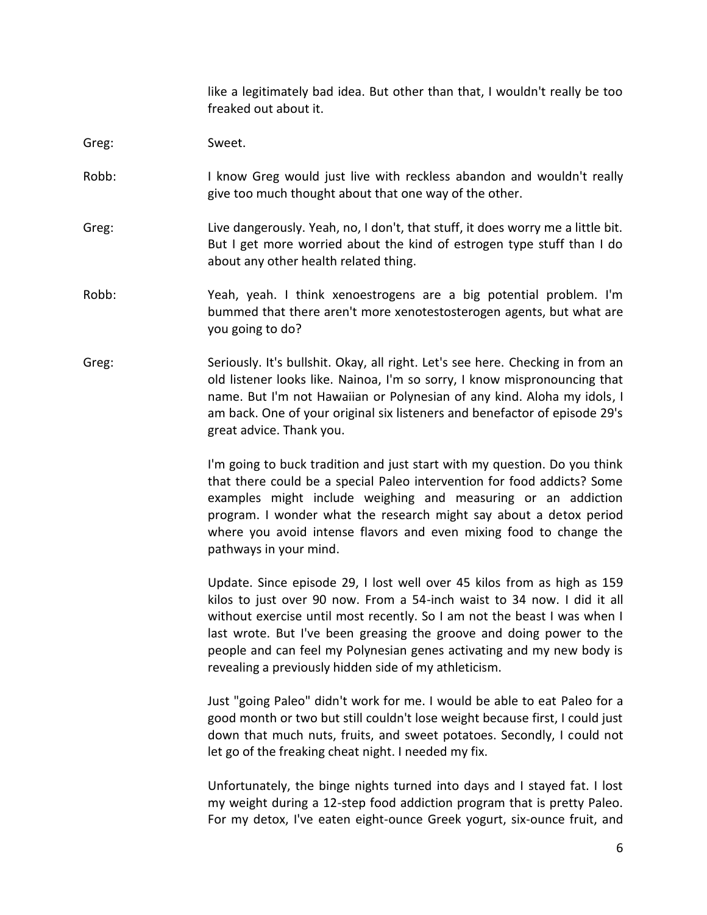like a legitimately bad idea. But other than that, I wouldn't really be too freaked out about it.

Greg: Sweet.

- Robb: I know Greg would just live with reckless abandon and wouldn't really give too much thought about that one way of the other.
- Greg: Live dangerously. Yeah, no, I don't, that stuff, it does worry me a little bit. But I get more worried about the kind of estrogen type stuff than I do about any other health related thing.
- Robb: Yeah, yeah. I think xenoestrogens are a big potential problem. I'm bummed that there aren't more xenotestosterogen agents, but what are you going to do?
- Greg: Seriously. It's bullshit. Okay, all right. Let's see here. Checking in from an old listener looks like. Nainoa, I'm so sorry, I know mispronouncing that name. But I'm not Hawaiian or Polynesian of any kind. Aloha my idols, I am back. One of your original six listeners and benefactor of episode 29's great advice. Thank you.

I'm going to buck tradition and just start with my question. Do you think that there could be a special Paleo intervention for food addicts? Some examples might include weighing and measuring or an addiction program. I wonder what the research might say about a detox period where you avoid intense flavors and even mixing food to change the pathways in your mind.

Update. Since episode 29, I lost well over 45 kilos from as high as 159 kilos to just over 90 now. From a 54-inch waist to 34 now. I did it all without exercise until most recently. So I am not the beast I was when I last wrote. But I've been greasing the groove and doing power to the people and can feel my Polynesian genes activating and my new body is revealing a previously hidden side of my athleticism.

Just "going Paleo" didn't work for me. I would be able to eat Paleo for a good month or two but still couldn't lose weight because first, I could just down that much nuts, fruits, and sweet potatoes. Secondly, I could not let go of the freaking cheat night. I needed my fix.

Unfortunately, the binge nights turned into days and I stayed fat. I lost my weight during a 12-step food addiction program that is pretty Paleo. For my detox, I've eaten eight-ounce Greek yogurt, six-ounce fruit, and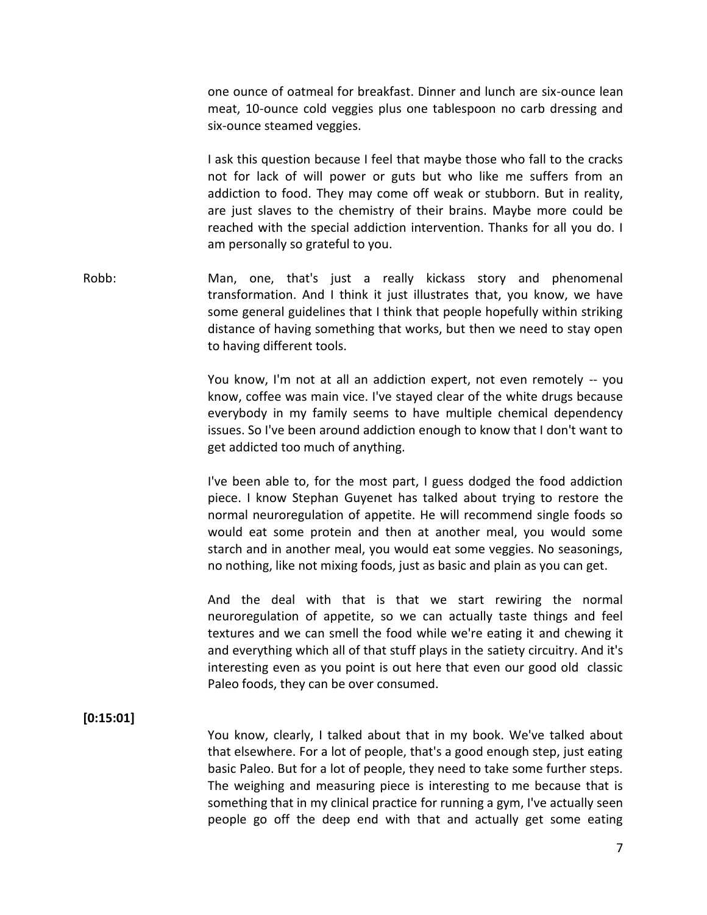one ounce of oatmeal for breakfast. Dinner and lunch are six-ounce lean meat, 10-ounce cold veggies plus one tablespoon no carb dressing and six-ounce steamed veggies.

I ask this question because I feel that maybe those who fall to the cracks not for lack of will power or guts but who like me suffers from an addiction to food. They may come off weak or stubborn. But in reality, are just slaves to the chemistry of their brains. Maybe more could be reached with the special addiction intervention. Thanks for all you do. I am personally so grateful to you.

Robb: Man, one, that's just a really kickass story and phenomenal transformation. And I think it just illustrates that, you know, we have some general guidelines that I think that people hopefully within striking distance of having something that works, but then we need to stay open to having different tools.

> You know, I'm not at all an addiction expert, not even remotely -- you know, coffee was main vice. I've stayed clear of the white drugs because everybody in my family seems to have multiple chemical dependency issues. So I've been around addiction enough to know that I don't want to get addicted too much of anything.

> I've been able to, for the most part, I guess dodged the food addiction piece. I know Stephan Guyenet has talked about trying to restore the normal neuroregulation of appetite. He will recommend single foods so would eat some protein and then at another meal, you would some starch and in another meal, you would eat some veggies. No seasonings, no nothing, like not mixing foods, just as basic and plain as you can get.

> And the deal with that is that we start rewiring the normal neuroregulation of appetite, so we can actually taste things and feel textures and we can smell the food while we're eating it and chewing it and everything which all of that stuff plays in the satiety circuitry. And it's interesting even as you point is out here that even our good old classic Paleo foods, they can be over consumed.

## **[0:15:01]**

You know, clearly, I talked about that in my book. We've talked about that elsewhere. For a lot of people, that's a good enough step, just eating basic Paleo. But for a lot of people, they need to take some further steps. The weighing and measuring piece is interesting to me because that is something that in my clinical practice for running a gym, I've actually seen people go off the deep end with that and actually get some eating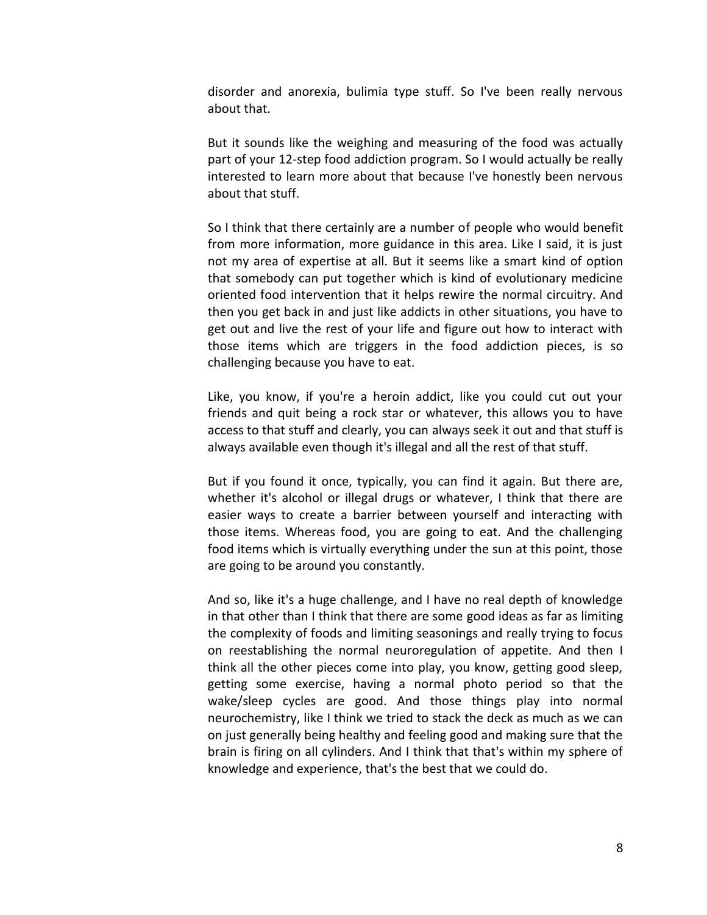disorder and anorexia, bulimia type stuff. So I've been really nervous about that.

But it sounds like the weighing and measuring of the food was actually part of your 12-step food addiction program. So I would actually be really interested to learn more about that because I've honestly been nervous about that stuff.

So I think that there certainly are a number of people who would benefit from more information, more guidance in this area. Like I said, it is just not my area of expertise at all. But it seems like a smart kind of option that somebody can put together which is kind of evolutionary medicine oriented food intervention that it helps rewire the normal circuitry. And then you get back in and just like addicts in other situations, you have to get out and live the rest of your life and figure out how to interact with those items which are triggers in the food addiction pieces, is so challenging because you have to eat.

Like, you know, if you're a heroin addict, like you could cut out your friends and quit being a rock star or whatever, this allows you to have access to that stuff and clearly, you can always seek it out and that stuff is always available even though it's illegal and all the rest of that stuff.

But if you found it once, typically, you can find it again. But there are, whether it's alcohol or illegal drugs or whatever, I think that there are easier ways to create a barrier between yourself and interacting with those items. Whereas food, you are going to eat. And the challenging food items which is virtually everything under the sun at this point, those are going to be around you constantly.

And so, like it's a huge challenge, and I have no real depth of knowledge in that other than I think that there are some good ideas as far as limiting the complexity of foods and limiting seasonings and really trying to focus on reestablishing the normal neuroregulation of appetite. And then I think all the other pieces come into play, you know, getting good sleep, getting some exercise, having a normal photo period so that the wake/sleep cycles are good. And those things play into normal neurochemistry, like I think we tried to stack the deck as much as we can on just generally being healthy and feeling good and making sure that the brain is firing on all cylinders. And I think that that's within my sphere of knowledge and experience, that's the best that we could do.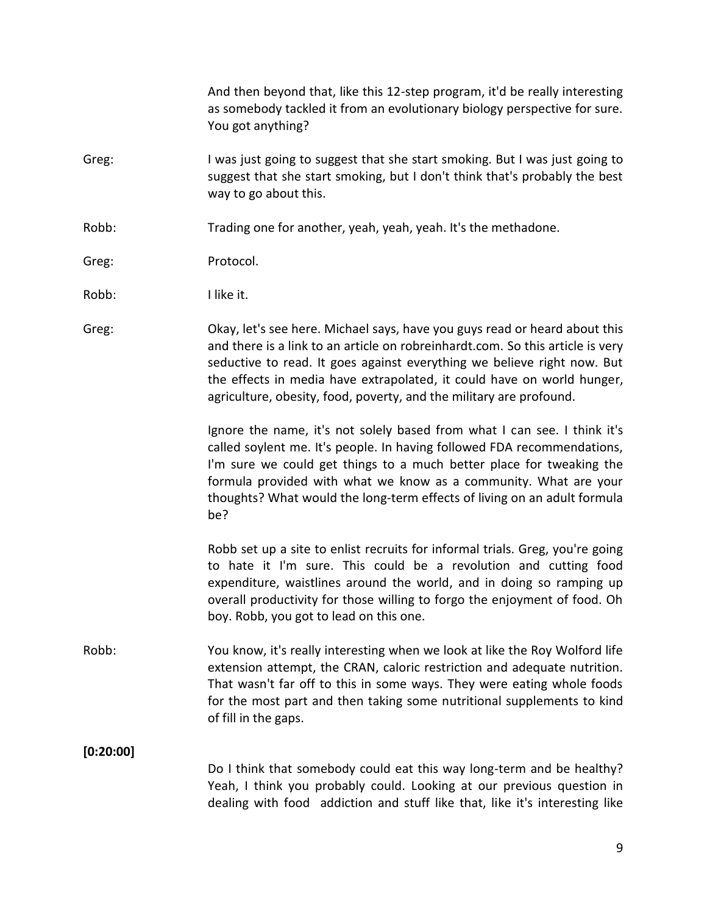And then beyond that, like this 12-step program, it'd be really interesting as somebody tackled it from an evolutionary biology perspective for sure. You got anything?

- Greg: I was just going to suggest that she start smoking. But I was just going to suggest that she start smoking, but I don't think that's probably the best way to go about this.
- Robb: Trading one for another, yeah, yeah, yeah. It's the methadone.
- Greg: Protocol.
- Robb: I like it.
- Greg: Okay, let's see here. Michael says, have you guys read or heard about this and there is a link to an article on robreinhardt.com. So this article is very seductive to read. It goes against everything we believe right now. But the effects in media have extrapolated, it could have on world hunger, agriculture, obesity, food, poverty, and the military are profound.

Ignore the name, it's not solely based from what I can see. I think it's called soylent me. It's people. In having followed FDA recommendations, I'm sure we could get things to a much better place for tweaking the formula provided with what we know as a community. What are your thoughts? What would the long-term effects of living on an adult formula be?

Robb set up a site to enlist recruits for informal trials. Greg, you're going to hate it I'm sure. This could be a revolution and cutting food expenditure, waistlines around the world, and in doing so ramping up overall productivity for those willing to forgo the enjoyment of food. Oh boy. Robb, you got to lead on this one.

Robb: You know, it's really interesting when we look at like the Roy Wolford life extension attempt, the CRAN, caloric restriction and adequate nutrition. That wasn't far off to this in some ways. They were eating whole foods for the most part and then taking some nutritional supplements to kind of fill in the gaps.

**[0:20:00]**

Do I think that somebody could eat this way long-term and be healthy? Yeah, I think you probably could. Looking at our previous question in dealing with food addiction and stuff like that, like it's interesting like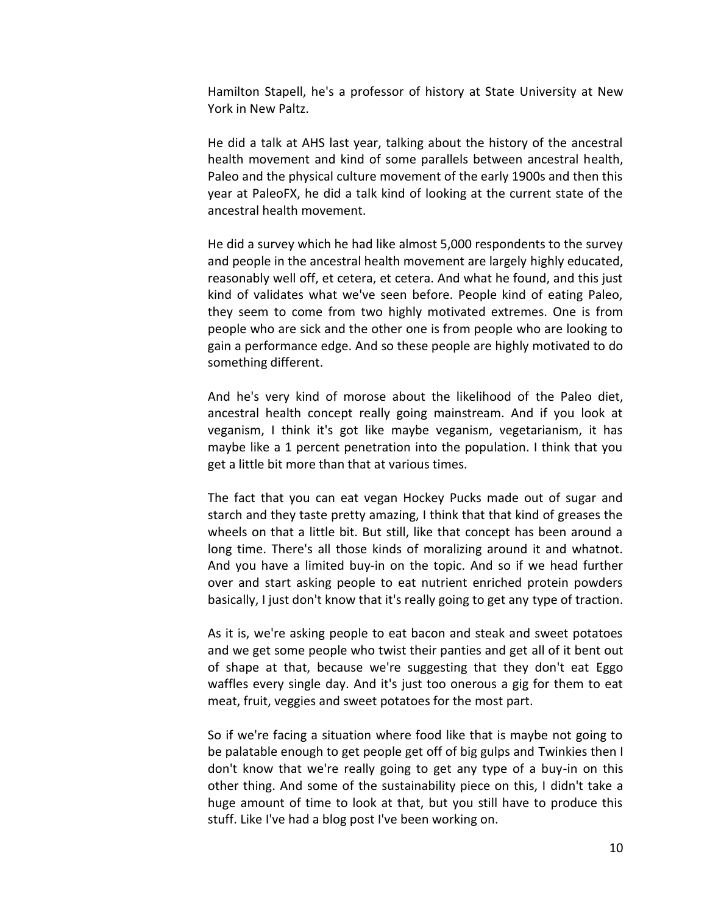Hamilton Stapell, he's a professor of history at State University at New York in New Paltz.

He did a talk at AHS last year, talking about the history of the ancestral health movement and kind of some parallels between ancestral health, Paleo and the physical culture movement of the early 1900s and then this year at PaleoFX, he did a talk kind of looking at the current state of the ancestral health movement.

He did a survey which he had like almost 5,000 respondents to the survey and people in the ancestral health movement are largely highly educated, reasonably well off, et cetera, et cetera. And what he found, and this just kind of validates what we've seen before. People kind of eating Paleo, they seem to come from two highly motivated extremes. One is from people who are sick and the other one is from people who are looking to gain a performance edge. And so these people are highly motivated to do something different.

And he's very kind of morose about the likelihood of the Paleo diet, ancestral health concept really going mainstream. And if you look at veganism, I think it's got like maybe veganism, vegetarianism, it has maybe like a 1 percent penetration into the population. I think that you get a little bit more than that at various times.

The fact that you can eat vegan Hockey Pucks made out of sugar and starch and they taste pretty amazing, I think that that kind of greases the wheels on that a little bit. But still, like that concept has been around a long time. There's all those kinds of moralizing around it and whatnot. And you have a limited buy-in on the topic. And so if we head further over and start asking people to eat nutrient enriched protein powders basically, I just don't know that it's really going to get any type of traction.

As it is, we're asking people to eat bacon and steak and sweet potatoes and we get some people who twist their panties and get all of it bent out of shape at that, because we're suggesting that they don't eat Eggo waffles every single day. And it's just too onerous a gig for them to eat meat, fruit, veggies and sweet potatoes for the most part.

So if we're facing a situation where food like that is maybe not going to be palatable enough to get people get off of big gulps and Twinkies then I don't know that we're really going to get any type of a buy-in on this other thing. And some of the sustainability piece on this, I didn't take a huge amount of time to look at that, but you still have to produce this stuff. Like I've had a blog post I've been working on.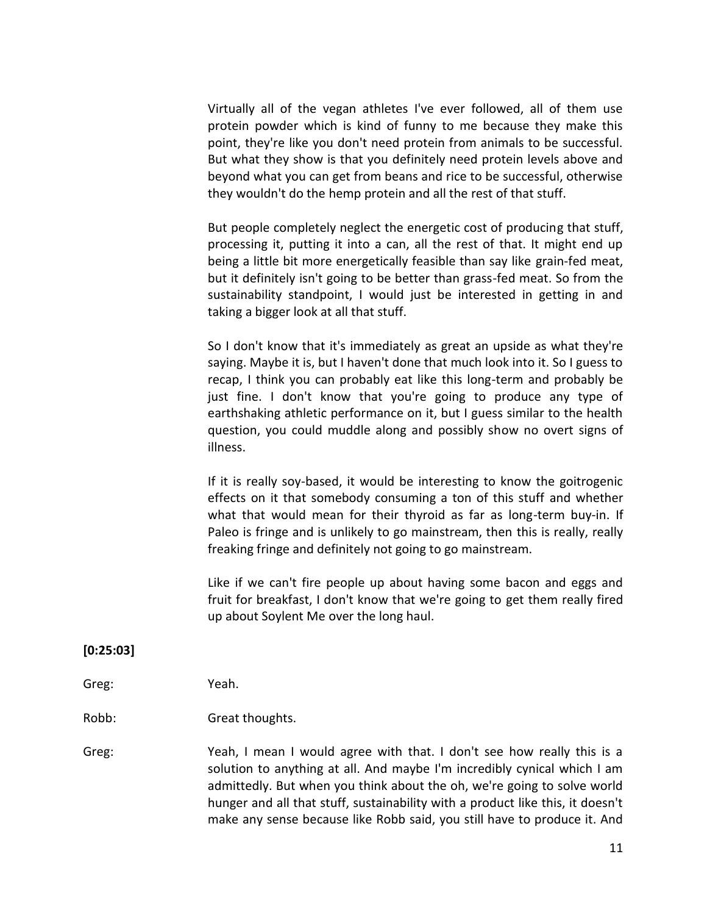Virtually all of the vegan athletes I've ever followed, all of them use protein powder which is kind of funny to me because they make this point, they're like you don't need protein from animals to be successful. But what they show is that you definitely need protein levels above and beyond what you can get from beans and rice to be successful, otherwise they wouldn't do the hemp protein and all the rest of that stuff.

But people completely neglect the energetic cost of producing that stuff, processing it, putting it into a can, all the rest of that. It might end up being a little bit more energetically feasible than say like grain-fed meat, but it definitely isn't going to be better than grass-fed meat. So from the sustainability standpoint, I would just be interested in getting in and taking a bigger look at all that stuff.

So I don't know that it's immediately as great an upside as what they're saying. Maybe it is, but I haven't done that much look into it. So I guess to recap, I think you can probably eat like this long-term and probably be just fine. I don't know that you're going to produce any type of earthshaking athletic performance on it, but I guess similar to the health question, you could muddle along and possibly show no overt signs of illness.

If it is really soy-based, it would be interesting to know the goitrogenic effects on it that somebody consuming a ton of this stuff and whether what that would mean for their thyroid as far as long-term buy-in. If Paleo is fringe and is unlikely to go mainstream, then this is really, really freaking fringe and definitely not going to go mainstream.

Like if we can't fire people up about having some bacon and eggs and fruit for breakfast, I don't know that we're going to get them really fired up about Soylent Me over the long haul.

### **[0:25:03]**

Greg: Yeah.

Robb: Great thoughts.

Greg: Yeah, I mean I would agree with that. I don't see how really this is a solution to anything at all. And maybe I'm incredibly cynical which I am admittedly. But when you think about the oh, we're going to solve world hunger and all that stuff, sustainability with a product like this, it doesn't make any sense because like Robb said, you still have to produce it. And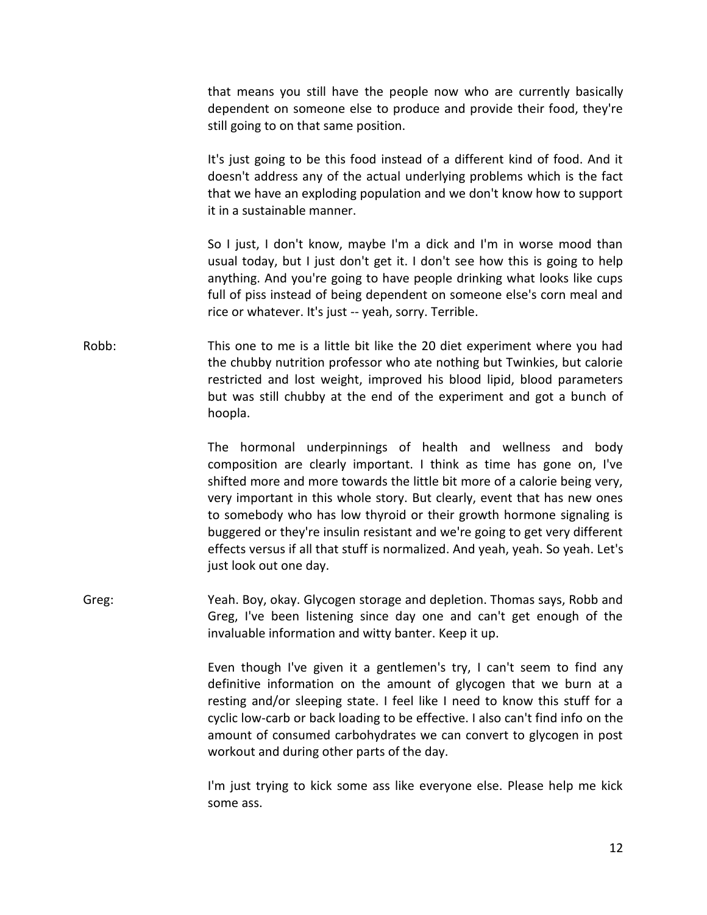that means you still have the people now who are currently basically dependent on someone else to produce and provide their food, they're still going to on that same position.

It's just going to be this food instead of a different kind of food. And it doesn't address any of the actual underlying problems which is the fact that we have an exploding population and we don't know how to support it in a sustainable manner.

So I just, I don't know, maybe I'm a dick and I'm in worse mood than usual today, but I just don't get it. I don't see how this is going to help anything. And you're going to have people drinking what looks like cups full of piss instead of being dependent on someone else's corn meal and rice or whatever. It's just -- yeah, sorry. Terrible.

Robb: This one to me is a little bit like the 20 diet experiment where you had the chubby nutrition professor who ate nothing but Twinkies, but calorie restricted and lost weight, improved his blood lipid, blood parameters but was still chubby at the end of the experiment and got a bunch of hoopla.

> The hormonal underpinnings of health and wellness and body composition are clearly important. I think as time has gone on, I've shifted more and more towards the little bit more of a calorie being very, very important in this whole story. But clearly, event that has new ones to somebody who has low thyroid or their growth hormone signaling is buggered or they're insulin resistant and we're going to get very different effects versus if all that stuff is normalized. And yeah, yeah. So yeah. Let's just look out one day.

Greg: Yeah. Boy, okay. Glycogen storage and depletion. Thomas says, Robb and Greg, I've been listening since day one and can't get enough of the invaluable information and witty banter. Keep it up.

> Even though I've given it a gentlemen's try, I can't seem to find any definitive information on the amount of glycogen that we burn at a resting and/or sleeping state. I feel like I need to know this stuff for a cyclic low-carb or back loading to be effective. I also can't find info on the amount of consumed carbohydrates we can convert to glycogen in post workout and during other parts of the day.

> I'm just trying to kick some ass like everyone else. Please help me kick some ass.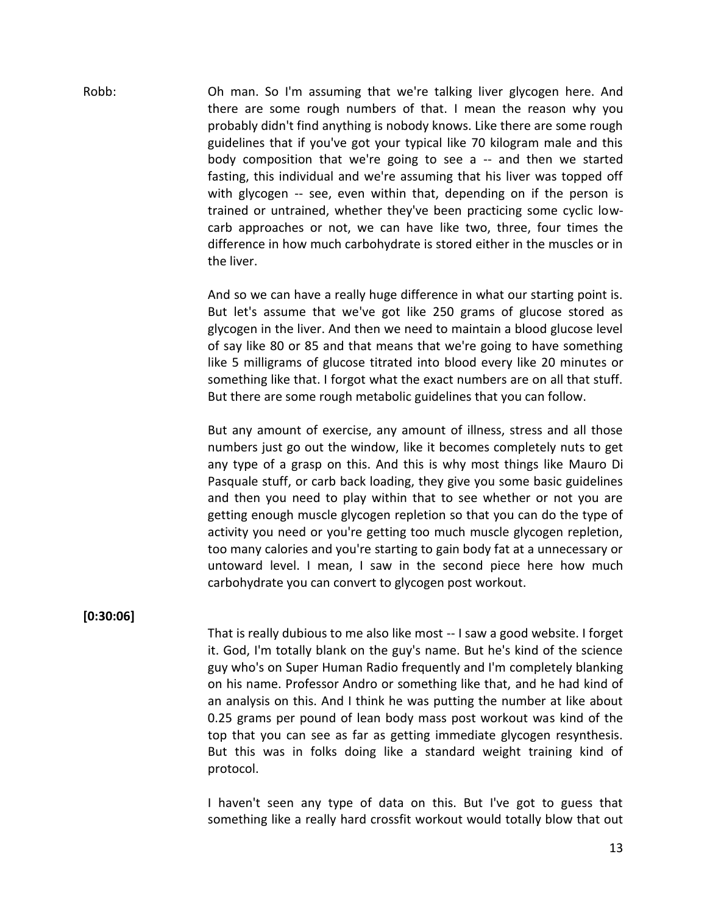Robb: Oh man. So I'm assuming that we're talking liver glycogen here. And there are some rough numbers of that. I mean the reason why you probably didn't find anything is nobody knows. Like there are some rough guidelines that if you've got your typical like 70 kilogram male and this body composition that we're going to see a -- and then we started fasting, this individual and we're assuming that his liver was topped off with glycogen -- see, even within that, depending on if the person is trained or untrained, whether they've been practicing some cyclic low carb approaches or not, we can have like two, three, four times the difference in how much carbohydrate is stored either in the muscles or in the liver.

> And so we can have a really huge difference in what our starting point is. But let's assume that we've got like 250 grams of glucose stored as glycogen in the liver. And then we need to maintain a blood glucose level of say like 80 or 85 and that means that we're going to have something like 5 milligrams of glucose titrated into blood every like 20 minutes or something like that. I forgot what the exact numbers are on all that stuff. But there are some rough metabolic guidelines that you can follow.

> But any amount of exercise, any amount of illness, stress and all those numbers just go out the window, like it becomes completely nuts to get any type of a grasp on this. And this is why most things like Mauro Di Pasquale stuff, or carb back loading, they give you some basic guidelines and then you need to play within that to see whether or not you are getting enough muscle glycogen repletion so that you can do the type of activity you need or you're getting too much muscle glycogen repletion, too many calories and you're starting to gain body fat at a unnecessary or untoward level. I mean, I saw in the second piece here how much carbohydrate you can convert to glycogen post workout.

### **[0:30:06]**

That is really dubious to me also like most -- I saw a good website. I forget it. God, I'm totally blank on the guy's name. But he's kind of the science guy who's on Super Human Radio frequently and I'm completely blanking on his name. Professor Andro or something like that, and he had kind of an analysis on this. And I think he was putting the number at like about 0.25 grams per pound of lean body mass post workout was kind of the top that you can see as far as getting immediate glycogen resynthesis. But this was in folks doing like a standard weight training kind of protocol.

I haven't seen any type of data on this. But I've got to guess that something like a really hard crossfit workout would totally blow that out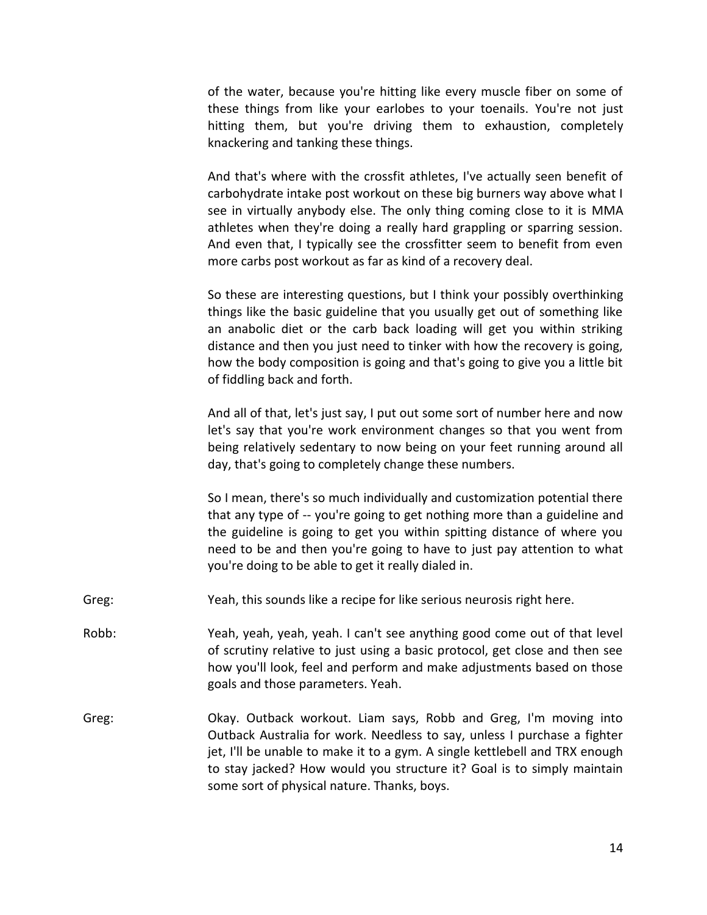of the water, because you're hitting like every muscle fiber on some of these things from like your earlobes to your toenails. You're not just hitting them, but you're driving them to exhaustion, completely knackering and tanking these things.

And that's where with the crossfit athletes, I've actually seen benefit of carbohydrate intake post workout on these big burners way above what I see in virtually anybody else. The only thing coming close to it is MMA athletes when they're doing a really hard grappling or sparring session. And even that, I typically see the crossfitter seem to benefit from even more carbs post workout as far as kind of a recovery deal.

So these are interesting questions, but I think your possibly overthinking things like the basic guideline that you usually get out of something like an anabolic diet or the carb back loading will get you within striking distance and then you just need to tinker with how the recovery is going, how the body composition is going and that's going to give you a little bit of fiddling back and forth.

And all of that, let's just say, I put out some sort of number here and now let's say that you're work environment changes so that you went from being relatively sedentary to now being on your feet running around all day, that's going to completely change these numbers.

So I mean, there's so much individually and customization potential there that any type of -- you're going to get nothing more than a guideline and the guideline is going to get you within spitting distance of where you need to be and then you're going to have to just pay attention to what you're doing to be able to get it really dialed in.

- Greg: Yeah, this sounds like a recipe for like serious neurosis right here.
- Robb: Yeah, yeah, yeah, yeah. I can't see anything good come out of that level of scrutiny relative to just using a basic protocol, get close and then see how you'll look, feel and perform and make adjustments based on those goals and those parameters. Yeah.
- Greg: Okay. Outback workout. Liam says, Robb and Greg, I'm moving into Outback Australia for work. Needless to say, unless I purchase a fighter jet, I'll be unable to make it to a gym. A single kettlebell and TRX enough to stay jacked? How would you structure it? Goal is to simply maintain some sort of physical nature. Thanks, boys.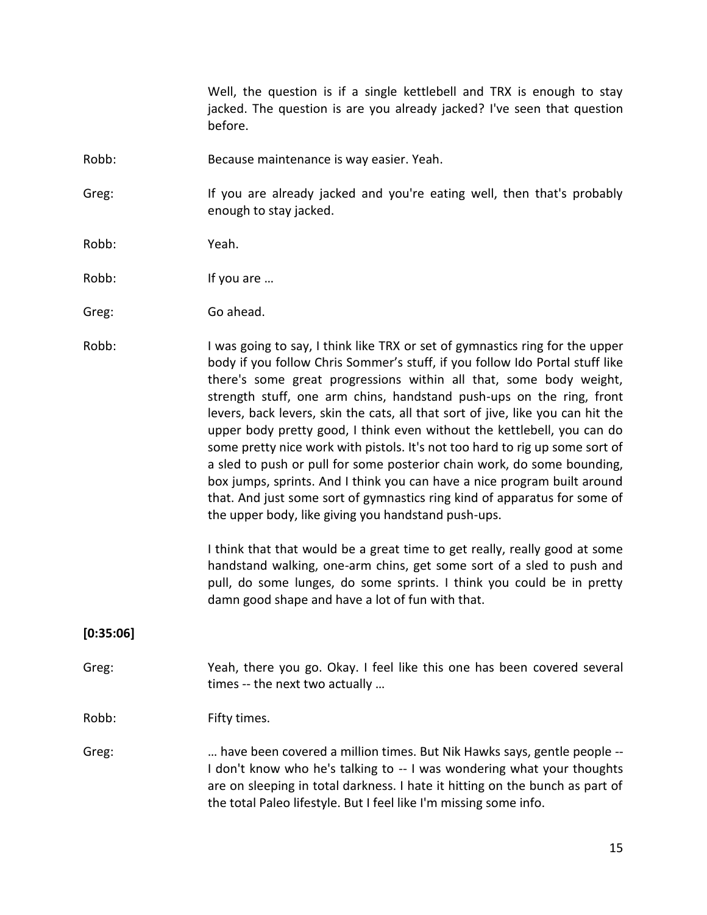Well, the question is if a single kettlebell and TRX is enough to stay jacked. The question is are you already jacked? I've seen that question before.

Robb: Because maintenance is way easier. Yeah.

Greg: If you are already jacked and you're eating well, then that's probably enough to stay jacked.

- Robb: Yeah.
- Robb: If you are ...
- Greg: Go ahead.
- Robb: I was going to say, I think like TRX or set of gymnastics ring for the upper body if you follow Chris Sommer's stuff, if you follow Ido Portal stuff like there's some great progressions within all that, some body weight, strength stuff, one arm chins, handstand push-ups on the ring, front levers, back levers, skin the cats, all that sort of jive, like you can hit the upper body pretty good, I think even without the kettlebell, you can do some pretty nice work with pistols. It's not too hard to rig up some sort of a sled to push or pull for some posterior chain work, do some bounding, box jumps, sprints. And I think you can have a nice program built around that. And just some sort of gymnastics ring kind of apparatus for some of the upper body, like giving you handstand push-ups.

I think that that would be a great time to get really, really good at some handstand walking, one-arm chins, get some sort of a sled to push and pull, do some lunges, do some sprints. I think you could be in pretty damn good shape and have a lot of fun with that.

## **[0:35:06]**

Greg: Yeah, there you go. Okay. I feel like this one has been covered several times -- the next two actually …

Robb: Fifty times.

Greg: … have been covered a million times. But Nik Hawks says, gentle people -- I don't know who he's talking to -- I was wondering what your thoughts are on sleeping in total darkness. I hate it hitting on the bunch as part of the total Paleo lifestyle. But I feel like I'm missing some info.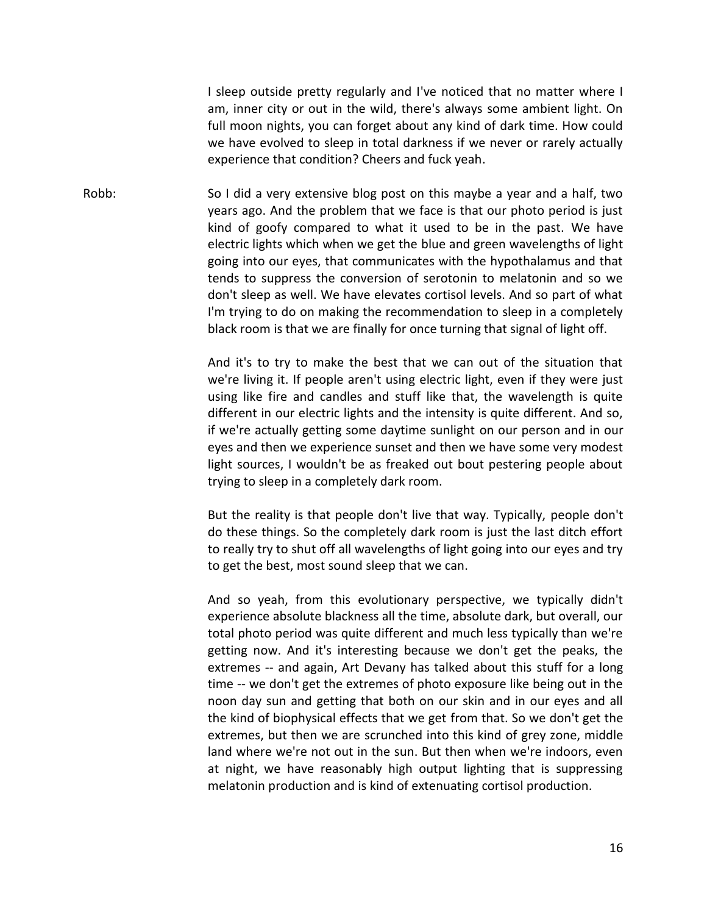I sleep outside pretty regularly and I've noticed that no matter where I am, inner city or out in the wild, there's always some ambient light. On full moon nights, you can forget about any kind of dark time. How could we have evolved to sleep in total darkness if we never or rarely actually experience that condition? Cheers and fuck yeah.

Robb: So I did a very extensive blog post on this maybe a year and a half, two years ago. And the problem that we face is that our photo period is just kind of goofy compared to what it used to be in the past. We have electric lights which when we get the blue and green wavelengths of light going into our eyes, that communicates with the hypothalamus and that tends to suppress the conversion of serotonin to melatonin and so we don't sleep as well. We have elevates cortisol levels. And so part of what I'm trying to do on making the recommendation to sleep in a completely black room is that we are finally for once turning that signal of light off.

> And it's to try to make the best that we can out of the situation that we're living it. If people aren't using electric light, even if they were just using like fire and candles and stuff like that, the wavelength is quite different in our electric lights and the intensity is quite different. And so, if we're actually getting some daytime sunlight on our person and in our eyes and then we experience sunset and then we have some very modest light sources, I wouldn't be as freaked out bout pestering people about trying to sleep in a completely dark room.

> But the reality is that people don't live that way. Typically, people don't do these things. So the completely dark room is just the last ditch effort to really try to shut off all wavelengths of light going into our eyes and try to get the best, most sound sleep that we can.

> And so yeah, from this evolutionary perspective, we typically didn't experience absolute blackness all the time, absolute dark, but overall, our total photo period was quite different and much less typically than we're getting now. And it's interesting because we don't get the peaks, the extremes -- and again, Art Devany has talked about this stuff for a long time -- we don't get the extremes of photo exposure like being out in the noon day sun and getting that both on our skin and in our eyes and all the kind of biophysical effects that we get from that. So we don't get the extremes, but then we are scrunched into this kind of grey zone, middle land where we're not out in the sun. But then when we're indoors, even at night, we have reasonably high output lighting that is suppressing melatonin production and is kind of extenuating cortisol production.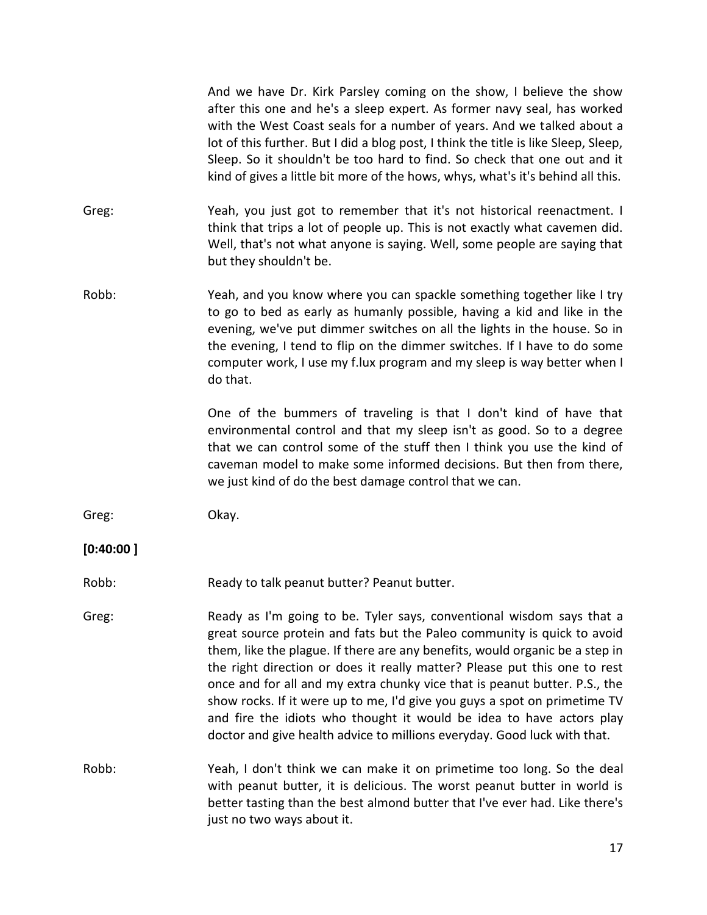And we have Dr. Kirk Parsley coming on the show, I believe the show after this one and he's a sleep expert. As former navy seal, has worked with the West Coast seals for a number of years. And we talked about a lot of this further. But I did a blog post, I think the title is like Sleep, Sleep, Sleep. So it shouldn't be too hard to find. So check that one out and it kind of gives a little bit more of the hows, whys, what's it's behind all this.

- Greg: Yeah, you just got to remember that it's not historical reenactment. I think that trips a lot of people up. This is not exactly what cavemen did. Well, that's not what anyone is saying. Well, some people are saying that but they shouldn't be.
- Robb: Yeah, and you know where you can spackle something together like I try to go to bed as early as humanly possible, having a kid and like in the evening, we've put dimmer switches on all the lights in the house. So in the evening, I tend to flip on the dimmer switches. If I have to do some computer work, I use my f.lux program and my sleep is way better when I do that.

One of the bummers of traveling is that I don't kind of have that environmental control and that my sleep isn't as good. So to a degree that we can control some of the stuff then I think you use the kind of caveman model to make some informed decisions. But then from there, we just kind of do the best damage control that we can.

Greg: Okay.

### **[0:40:00 ]**

- Robb: Ready to talk peanut butter? Peanut butter.
- Greg: Ready as I'm going to be. Tyler says, conventional wisdom says that a great source protein and fats but the Paleo community is quick to avoid them, like the plague. If there are any benefits, would organic be a step in the right direction or does it really matter? Please put this one to rest once and for all and my extra chunky vice that is peanut butter. P.S., the show rocks. If it were up to me, I'd give you guys a spot on primetime TV and fire the idiots who thought it would be idea to have actors play doctor and give health advice to millions everyday. Good luck with that.
- Robb: Yeah, I don't think we can make it on primetime too long. So the deal with peanut butter, it is delicious. The worst peanut butter in world is better tasting than the best almond butter that I've ever had. Like there's just no two ways about it.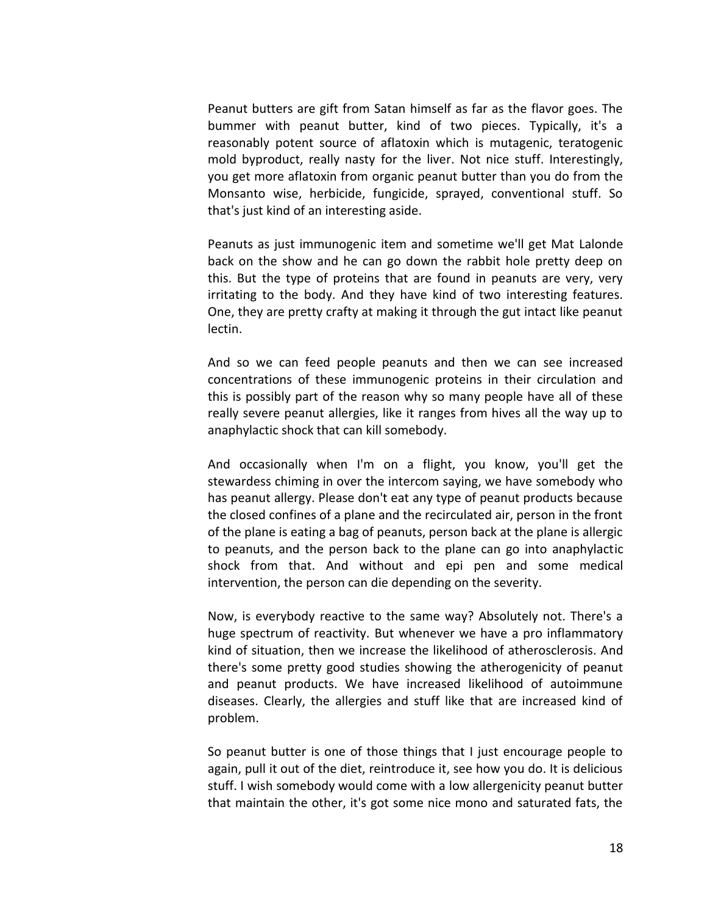Peanut butters are gift from Satan himself as far as the flavor goes. The bummer with peanut butter, kind of two pieces. Typically, it's a reasonably potent source of aflatoxin which is mutagenic, teratogenic mold byproduct, really nasty for the liver. Not nice stuff. Interestingly, you get more aflatoxin from organic peanut butter than you do from the Monsanto wise, herbicide, fungicide, sprayed, conventional stuff. So that's just kind of an interesting aside.

Peanuts as just immunogenic item and sometime we'll get Mat Lalonde back on the show and he can go down the rabbit hole pretty deep on this. But the type of proteins that are found in peanuts are very, very irritating to the body. And they have kind of two interesting features. One, they are pretty crafty at making it through the gut intact like peanut lectin.

And so we can feed people peanuts and then we can see increased concentrations of these immunogenic proteins in their circulation and this is possibly part of the reason why so many people have all of these really severe peanut allergies, like it ranges from hives all the way up to anaphylactic shock that can kill somebody.

And occasionally when I'm on a flight, you know, you'll get the stewardess chiming in over the intercom saying, we have somebody who has peanut allergy. Please don't eat any type of peanut products because the closed confines of a plane and the recirculated air, person in the front of the plane is eating a bag of peanuts, person back at the plane is allergic to peanuts, and the person back to the plane can go into anaphylactic shock from that. And without and epi pen and some medical intervention, the person can die depending on the severity.

Now, is everybody reactive to the same way? Absolutely not. There's a huge spectrum of reactivity. But whenever we have a pro inflammatory kind of situation, then we increase the likelihood of atherosclerosis. And there's some pretty good studies showing the atherogenicity of peanut and peanut products. We have increased likelihood of autoimmune diseases. Clearly, the allergies and stuff like that are increased kind of problem.

So peanut butter is one of those things that I just encourage people to again, pull it out of the diet, reintroduce it, see how you do. It is delicious stuff. I wish somebody would come with a low allergenicity peanut butter that maintain the other, it's got some nice mono and saturated fats, the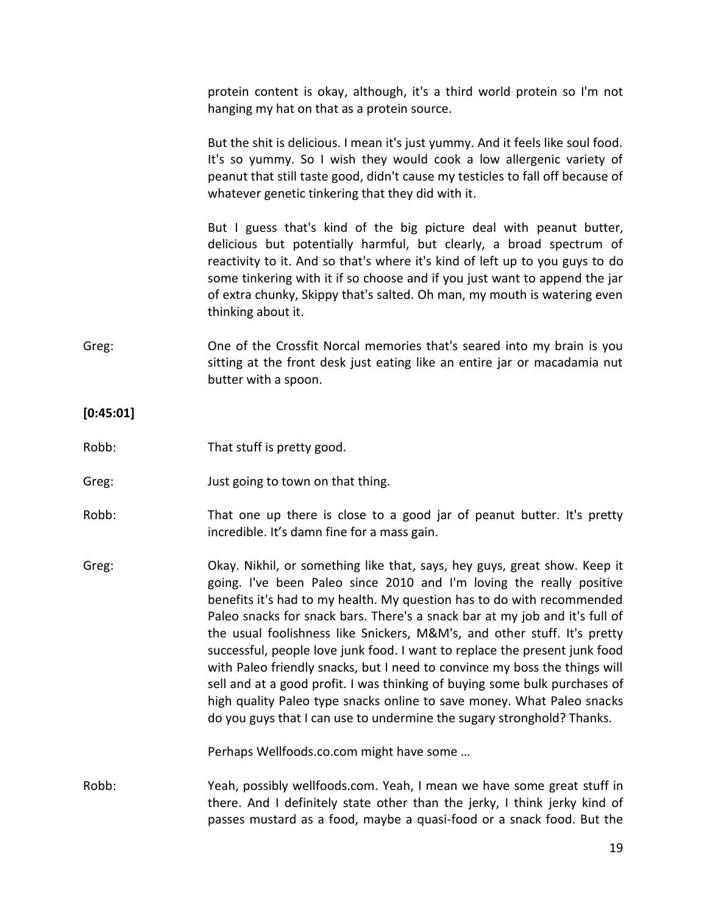protein content is okay, although, it's a third world protein so I'm not hanging my hat on that as a protein source.

But the shit is delicious. I mean it's just yummy. And it feels like soul food. It's so yummy. So I wish they would cook a low allergenic variety of peanut that still taste good, didn't cause my testicles to fall off because of whatever genetic tinkering that they did with it.

But I guess that's kind of the big picture deal with peanut butter, delicious but potentially harmful, but clearly, a broad spectrum of reactivity to it. And so that's where it's kind of left up to you guys to do some tinkering with it if so choose and if you just want to append the jar of extra chunky, Skippy that's salted. Oh man, my mouth is watering even thinking about it.

Greg: One of the Crossfit Norcal memories that's seared into my brain is you sitting at the front desk just eating like an entire jar or macadamia nut butter with a spoon.

## **[0:45:01]**

- Robb: That stuff is pretty good.
- Greg: **Just going to town on that thing.**
- Robb: That one up there is close to a good jar of peanut butter. It's pretty incredible. It's damn fine for a mass gain.
- Greg: Okay. Nikhil, or something like that, says, hey guys, great show. Keep it going. I've been Paleo since 2010 and I'm loving the really positive benefits it's had to my health. My question has to do with recommended Paleo snacks for snack bars. There's a snack bar at my job and it's full of the usual foolishness like Snickers, M&M's, and other stuff. It's pretty successful, people love junk food. I want to replace the present junk food with Paleo friendly snacks, but I need to convince my boss the things will sell and at a good profit. I was thinking of buying some bulk purchases of high quality Paleo type snacks online to save money. What Paleo snacks do you guys that I can use to undermine the sugary stronghold? Thanks.

Perhaps Wellfoods.co.com might have some …

Robb: Yeah, possibly wellfoods.com. Yeah, I mean we have some great stuff in there. And I definitely state other than the jerky, I think jerky kind of passes mustard as a food, maybe a quasi-food or a snack food. But the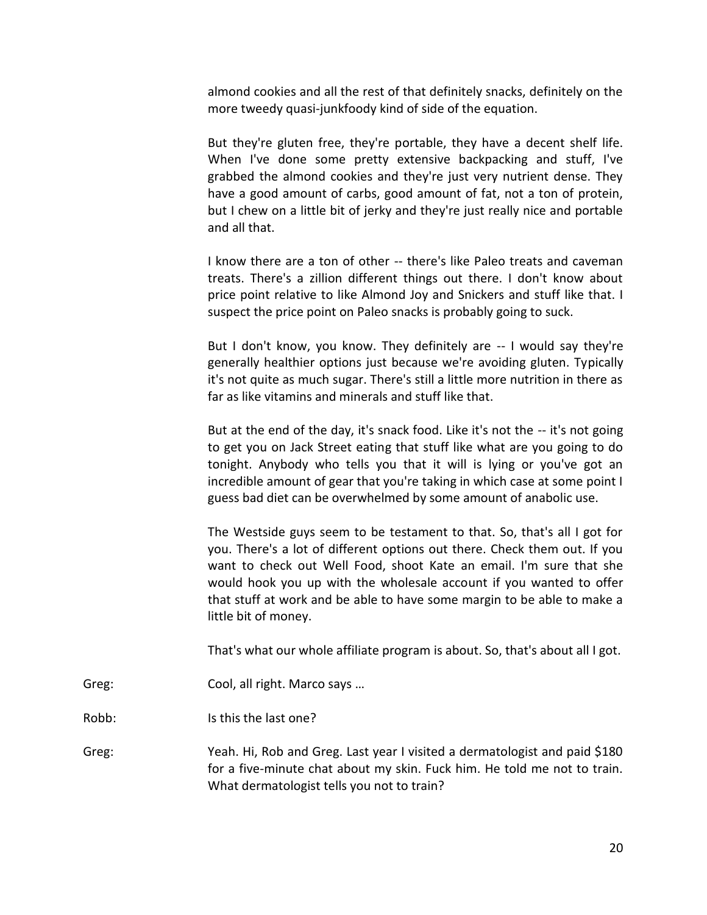almond cookies and all the rest of that definitely snacks, definitely on the more tweedy quasi-junkfoody kind of side of the equation.

But they're gluten free, they're portable, they have a decent shelf life. When I've done some pretty extensive backpacking and stuff, I've grabbed the almond cookies and they're just very nutrient dense. They have a good amount of carbs, good amount of fat, not a ton of protein, but I chew on a little bit of jerky and they're just really nice and portable and all that.

I know there are a ton of other -- there's like Paleo treats and caveman treats. There's a zillion different things out there. I don't know about price point relative to like Almond Joy and Snickers and stuff like that. I suspect the price point on Paleo snacks is probably going to suck.

But I don't know, you know. They definitely are -- I would say they're generally healthier options just because we're avoiding gluten. Typically it's not quite as much sugar. There's still a little more nutrition in there as far as like vitamins and minerals and stuff like that.

But at the end of the day, it's snack food. Like it's not the -- it's not going to get you on Jack Street eating that stuff like what are you going to do tonight. Anybody who tells you that it will is lying or you've got an incredible amount of gear that you're taking in which case at some point I guess bad diet can be overwhelmed by some amount of anabolic use.

The Westside guys seem to be testament to that. So, that's all I got for you. There's a lot of different options out there. Check them out. If you want to check out Well Food, shoot Kate an email. I'm sure that she would hook you up with the wholesale account if you wanted to offer that stuff at work and be able to have some margin to be able to make a little bit of money.

That's what our whole affiliate program is about. So, that's about all I got.

Greg: Cool, all right. Marco says ...

Robb: Is this the last one?

Greg: Yeah. Hi, Rob and Greg. Last year I visited a dermatologist and paid \$180 for a five-minute chat about my skin. Fuck him. He told me not to train. What dermatologist tells you not to train?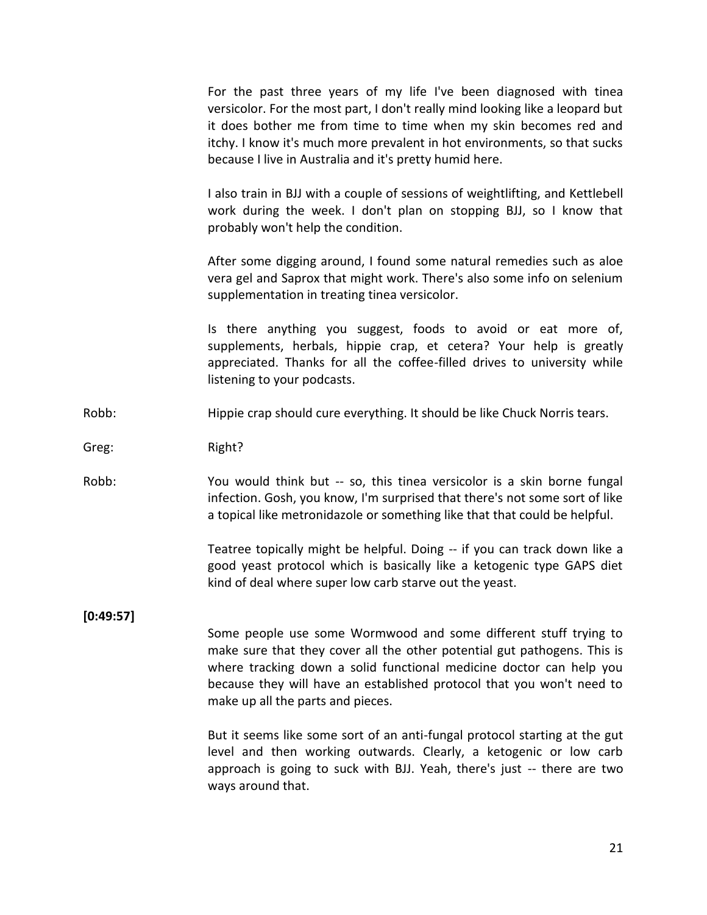For the past three years of my life I've been diagnosed with tinea versicolor. For the most part, I don't really mind looking like a leopard but it does bother me from time to time when my skin becomes red and itchy. I know it's much more prevalent in hot environments, so that sucks because I live in Australia and it's pretty humid here.

I also train in BJJ with a couple of sessions of weightlifting, and Kettlebell work during the week. I don't plan on stopping BJJ, so I know that probably won't help the condition.

After some digging around, I found some natural remedies such as aloe vera gel and Saprox that might work. There's also some info on selenium supplementation in treating tinea versicolor.

Is there anything you suggest, foods to avoid or eat more of, supplements, herbals, hippie crap, et cetera? Your help is greatly appreciated. Thanks for all the coffee-filled drives to university while listening to your podcasts.

Robb: Hippie crap should cure everything. It should be like Chuck Norris tears.

Greg: Right?

Robb: You would think but -- so, this tinea versicolor is a skin borne fungal infection. Gosh, you know, I'm surprised that there's not some sort of like a topical like metronidazole or something like that that could be helpful.

> Teatree topically might be helpful. Doing -- if you can track down like a good yeast protocol which is basically like a ketogenic type GAPS diet kind of deal where super low carb starve out the yeast.

**[0:49:57]**

Some people use some Wormwood and some different stuff trying to make sure that they cover all the other potential gut pathogens. This is where tracking down a solid functional medicine doctor can help you because they will have an established protocol that you won't need to make up all the parts and pieces.

But it seems like some sort of an anti-fungal protocol starting at the gut level and then working outwards. Clearly, a ketogenic or low carb approach is going to suck with BJJ. Yeah, there's just -- there are two ways around that.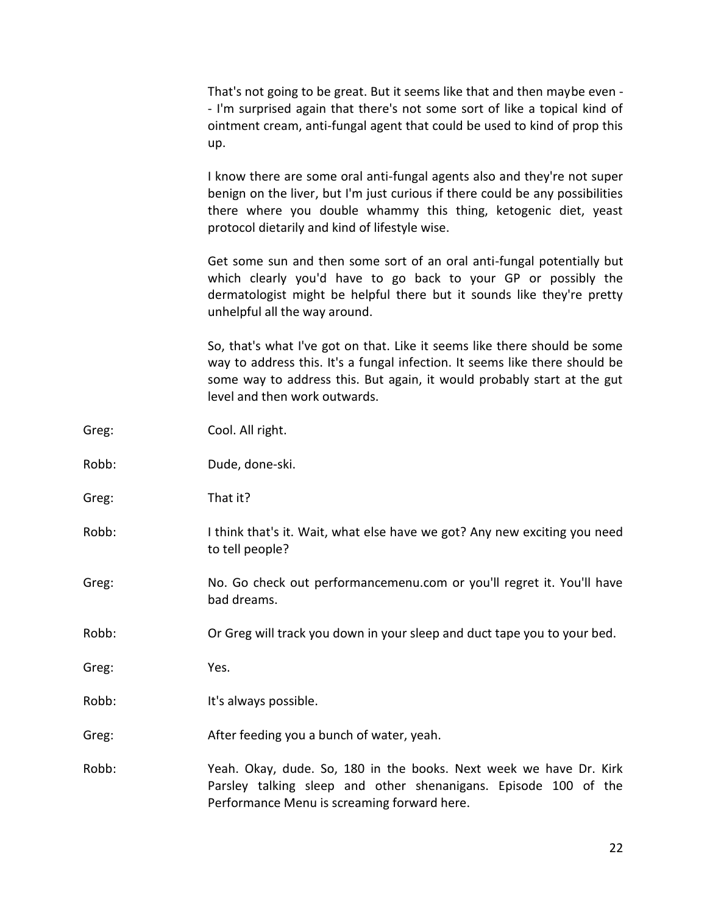That's not going to be great. But it seems like that and then maybe even - - I'm surprised again that there's not some sort of like a topical kind of ointment cream, anti-fungal agent that could be used to kind of prop this up.

I know there are some oral anti-fungal agents also and they're not super benign on the liver, but I'm just curious if there could be any possibilities there where you double whammy this thing, ketogenic diet, yeast protocol dietarily and kind of lifestyle wise.

Get some sun and then some sort of an oral anti-fungal potentially but which clearly you'd have to go back to your GP or possibly the dermatologist might be helpful there but it sounds like they're pretty unhelpful all the way around.

So, that's what I've got on that. Like it seems like there should be some way to address this. It's a fungal infection. It seems like there should be some way to address this. But again, it would probably start at the gut level and then work outwards.

| Greg: | Cool. All right.                                                                                                                                                                     |
|-------|--------------------------------------------------------------------------------------------------------------------------------------------------------------------------------------|
| Robb: | Dude, done-ski.                                                                                                                                                                      |
| Greg: | That it?                                                                                                                                                                             |
| Robb: | I think that's it. Wait, what else have we got? Any new exciting you need<br>to tell people?                                                                                         |
| Greg: | No. Go check out performancemenu.com or you'll regret it. You'll have<br>bad dreams.                                                                                                 |
| Robb: | Or Greg will track you down in your sleep and duct tape you to your bed.                                                                                                             |
| Greg: | Yes.                                                                                                                                                                                 |
| Robb: | It's always possible.                                                                                                                                                                |
| Greg: | After feeding you a bunch of water, yeah.                                                                                                                                            |
| Robb: | Yeah. Okay, dude. So, 180 in the books. Next week we have Dr. Kirk<br>Parsley talking sleep and other shenanigans. Episode 100 of the<br>Performance Menu is screaming forward here. |